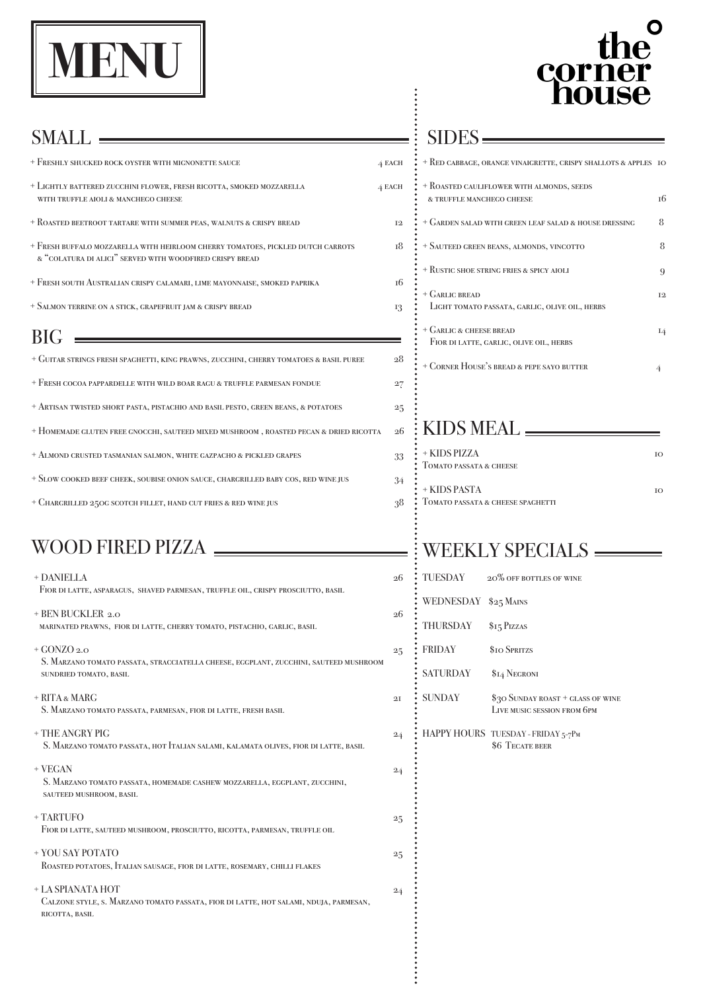

# corne

- $+$  Freshly shucked rock oyster with mignonette sauce  $4 E$
- + LIGHTLY BATTERED ZUCCHINI FLOWER, FRESH RICOTTA, SMOKED MOZZARELLA  $4 E$ with truffle aioli & manchego cheese
- + Roasted beetroot tartare with summer peas, walnuts & crispy bread 12
- + Fresh buffalo mozzarella with heirloom cherry tomatoes, pickled dutch carrots 18 & "colatura di alici" served with woodfired crispy bread
- + Fresh south Australian crispy calamari, lime mayonnaise, smoked paprika 16
- + Salmon terrine on a stick, grapefruit jam & crispy bread 13

 $BIG$ 

- + DANIELLA 26 Fior di latte, asparagus, shaved parmesan, truffle oil, crispy prosciutto, basil  $+$  BEN BUCKLER 2.0
- marinated prawns, fior di latte, cherry tomato, pistachio, garlic, basil
- $+$  GONZO 2.0
- + Guitar strings fresh spaghetti, king prawns, zucchini, cherry tomatoes & basil puree 28
- + Fresh cocoa pappardelle with wild boar ragu & truffle parmesan fondue 27
- + Artisan twisted short pasta, pistachio and basil pesto, green beans, & potatoes 25
- + Homemade gluten free gnocchi, sauteed mixed mushroom , roasted pecan & dried ricotta 26
- + Almond crusted tasmanian salmon, white gazpacho & pickled grapes 33
- + Slow cooked beef cheek, soubise onion sauce, chargrilled baby cos, red wine jus 34
- + Chargrilled 250g scotch fillet, hand cut fries & red wine jus 38

- $+$  RITA  $\&$  MARG S. Marzano tomato passata, parmesan, fior di latte, fresh basil
- + THE ANGRY PIG 24

 $+$  VEGAN  $24$  S. Marzano tomato passata, homemade cashew mozzarella, eggplant, zucchini, sauteed mushroom, basil

## SIDES

 S. Marzano tomato passata, stracciatella cheese, eggplant, zucchini, sauteed mushroom sundried tomato, basil

| <b>ACH</b> | + RED CABBAGE, ORANGE VINAIGRETTE, CRISPY SHALLOTS & APPLES TO         |           |
|------------|------------------------------------------------------------------------|-----------|
| <b>ACH</b> | + ROASTED CAULIFLOWER WITH ALMONDS, SEEDS<br>& TRUFFLE MANCHEGO CHEESE | 16        |
| 12         | + GARDEN SALAD WITH GREEN LEAF SALAD & HOUSE DRESSING                  | 8         |
| 18         | + SAUTEED GREEN BEANS, ALMONDS, VINCOTTO                               | 8         |
|            | + RUSTIC SHOE STRING FRIES & SPICY AIOLI                               | 9         |
| 16<br>13   | + GARLIC BREAD<br>LIGHT TOMATO PASSATA, GARLIC, OLIVE OIL, HERBS       | <b>T2</b> |
|            | + GARLIC & CHEESE BREAD<br>FIOR DI LATTE, GARLIC, OLIVE OIL, HERBS     | 14        |
| 28         | + CORNER HOUSE'S BREAD & PEPE SAYO BUTTER                              | 4         |
| 27         |                                                                        |           |
| 25         |                                                                        |           |
| 26         | KIDS MEAL -                                                            |           |
| 33         | + KIDS PIZZA<br>TOMATO PASSATA & CHEESE                                | IO        |
| 34<br>28   | + KIDS PASTA<br>TOMATO PASSATA & CHEESE SPAGHETTI                      | IO        |

S. Marzano tomato passata, hot Italian salami, kalamata olives, fior di latte, basil

# WOOD FIRED PIZZA WEEKLY SPECIALS

### + TARTUFO 25

Fior di latte, sauteed mushroom, prosciutto, ricotta, parmesan, truffle oil

## + YOU SAY POTATO 25

Roasted potatoes, Italian sausage, fior di latte, rosemary, chilli flakes

## + LA SPIANATA HOT 24

 Calzone style, s. Marzano tomato passata, fior di latte, hot salami, nduja, parmesan, ricotta, basil

| $26\overline{)}$ | TUESDAY         | 20% OFF BOTTLES OF WINE                                          |
|------------------|-----------------|------------------------------------------------------------------|
|                  | WEDNESDAY       | $$25$ Mains                                                      |
| 26               | <b>THURSDAY</b> | \$15 Pizzas                                                      |
| 25               | <b>FRIDAY</b>   | \$10 SPRITZS                                                     |
|                  | <b>SATURDAY</b> | \$14 NEGRONI                                                     |
| 2I               | <b>SUNDAY</b>   | \$30 SUNDAY ROAST + GLASS OF WINE<br>LIVE MUSIC SESSION FROM 6PM |
| 24               |                 | HAPPY HOURS TUESDAY - FRIDAY 5-7PM                               |

**\$6 TECATE BEER** 

## SMALL  $\equiv$

|            |              | + RUSTIC SHOE STRING FRIES & SPICY AIOLI       |
|------------|--------------|------------------------------------------------|
|            | 16           | + GARLIC BREAD                                 |
|            | 13           | LIGHT TOMATO PASSATA, GARLIC, OLIVE OIL, HERBS |
|            |              | + GARLIC & CHEESE BREAD                        |
|            |              | FIOR DI LATTE, GARLIC, OLIVE OIL, HERBS        |
|            | 28           | + CORNER HOUSE'S BREAD & PEPE SAYO BUTTER      |
|            | 27           |                                                |
|            | $\bf{^{25}}$ |                                                |
|            |              |                                                |
| <b>TTA</b> | $26\,$       | KIDS MEAL _                                    |
|            | 33           | + KIDS PIZZA                                   |
|            |              | TOMATO PASSATA & CHEESE                        |
|            | 34           | + KIDS PASTA                                   |
|            | 38           | TOMATO PASSATA & CHEESE SPACHETTI              |
|            |              |                                                |
|            |              |                                                |
|            |              | WEEKI V SPECI                                  |